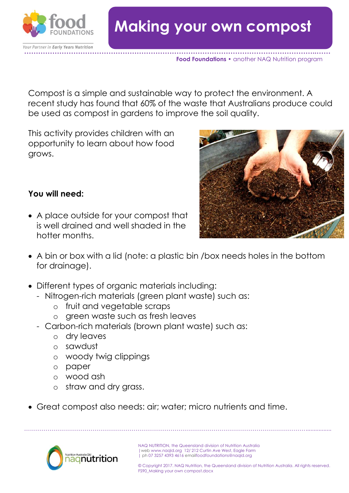

## **Food Foundations •** another NAQ Nutrition program

Compost is a simple and sustainable way to protect the environment. A recent study has found that 60% of the waste that Australians produce could be used as compost in gardens to improve the soil quality.

This activity provides children with an opportunity to learn about how food grows.



## **You will need:**

- A place outside for your compost that is well drained and well shaded in the hotter months.
- A bin or box with a lid (note: a plastic bin /box needs holes in the bottom for drainage).
- Different types of organic materials including:
	- Nitrogen-rich materials (green plant waste) such as:
		- o fruit and vegetable scraps
		- o green waste such as fresh leaves
	- Carbon-rich materials (brown plant waste) such as:
		- o dry leaves
		- o sawdust
		- o woody twig clippings
		- o paper
		- o wood ash
		- o straw and dry grass.
- Great compost also needs: air; water; micro nutrients and time.

………………………………………………………………………………………………………………………………................



NAQ NUTRITION, the Queensland division of Nutrition Australia |web www.naqld.org 12/ 212 Curtin Ave West, Eagle Farm | ph 07 3257 4393 4616 emailfoodfoundations@naqld.org

© Copyright 2017. NAQ Nutrition, the Queensland division of Nutrition Australia. All rights reserved. FS90\_Making your own compost.docx